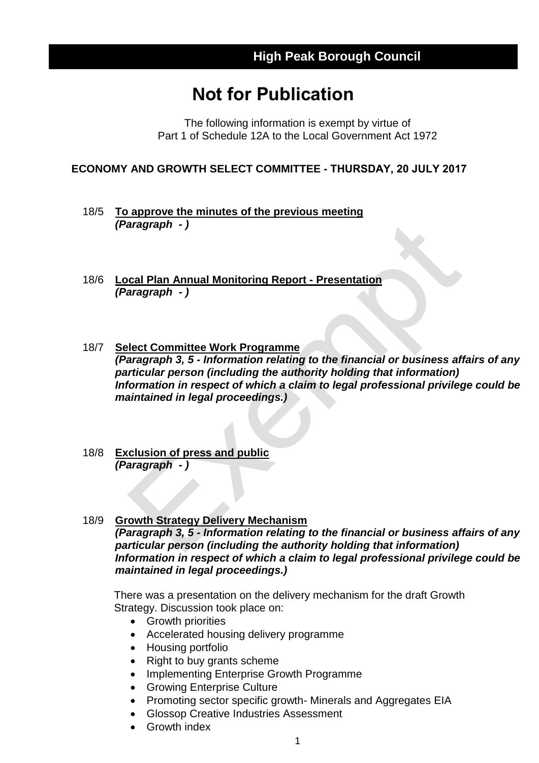## **Not for Publication**

The following information is exempt by virtue of Part 1 of Schedule 12A to the Local Government Act 1972

**ECONOMY AND GROWTH SELECT COMMITTEE - THURSDAY, 20 JULY 2017**

- 18/5 **To approve the minutes of the previous meeting** *(Paragraph - )*
- 18/6 **Local Plan Annual Monitoring Report - Presentation** *(Paragraph - )*
- 18/7 **Select Committee Work Programme** *(Paragraph 3, 5 - Information relating to the financial or business affairs of any particular person (including the authority holding that information) Information in respect of which a claim to legal professional privilege could be maintained in legal proceedings.)*
- 18/8 **Exclusion of press and public** *(Paragraph - )*
- 18/9 **Growth Strategy Delivery Mechanism** *(Paragraph 3, 5 - Information relating to the financial or business affairs of any particular person (including the authority holding that information) Information in respect of which a claim to legal professional privilege could be maintained in legal proceedings.)*

There was a presentation on the delivery mechanism for the draft Growth Strategy. Discussion took place on:

- Growth priorities
- Accelerated housing delivery programme
- Housing portfolio
- Right to buy grants scheme
- Implementing Enterprise Growth Programme
- Growing Enterprise Culture
- Promoting sector specific growth- Minerals and Aggregates EIA
- Glossop Creative Industries Assessment
- Growth index